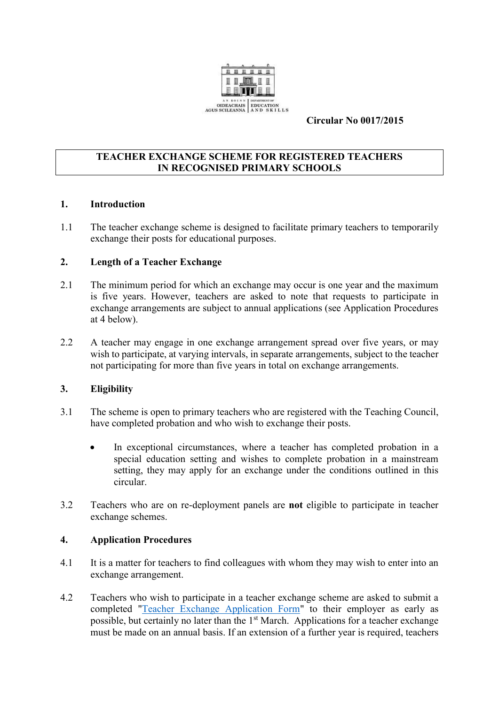

#### **Circular No 0017/2015**

#### **TEACHER EXCHANGE SCHEME FOR REGISTERED TEACHERS IN RECOGNISED PRIMARY SCHOOLS**

#### **1. Introduction**

1.1 The teacher exchange scheme is designed to facilitate primary teachers to temporarily exchange their posts for educational purposes.

### **2. Length of a Teacher Exchange**

- 2.1 The minimum period for which an exchange may occur is one year and the maximum is five years. However, teachers are asked to note that requests to participate in exchange arrangements are subject to annual applications (see Application Procedures at 4 below).
- 2.2 A teacher may engage in one exchange arrangement spread over five years, or may wish to participate, at varying intervals, in separate arrangements, subject to the teacher not participating for more than five years in total on exchange arrangements.

#### **3. Eligibility**

- 3.1 The scheme is open to primary teachers who are registered with the Teaching Council, have completed probation and who wish to exchange their posts.
	- In exceptional circumstances, where a teacher has completed probation in a special education setting and wishes to complete probation in a mainstream setting, they may apply for an exchange under the conditions outlined in this circular.
- 3.2 Teachers who are on re-deployment panels are **not** eligible to participate in teacher exchange schemes.

#### **4. Application Procedures**

- 4.1 It is a matter for teachers to find colleagues with whom they may wish to enter into an exchange arrangement.
- 4.2 Teachers who wish to participate in a teacher exchange scheme are asked to submit a completed ["Teacher Exchange Application Form"](http://www.education.ie/en/Education-Staff/Services/Secondment-Exchanges/Application-for-Temporary-Teacher-Exchange.pdf) to their employer as early as possible, but certainly no later than the 1<sup>st</sup> March. Applications for a teacher exchange must be made on an annual basis. If an extension of a further year is required, teachers